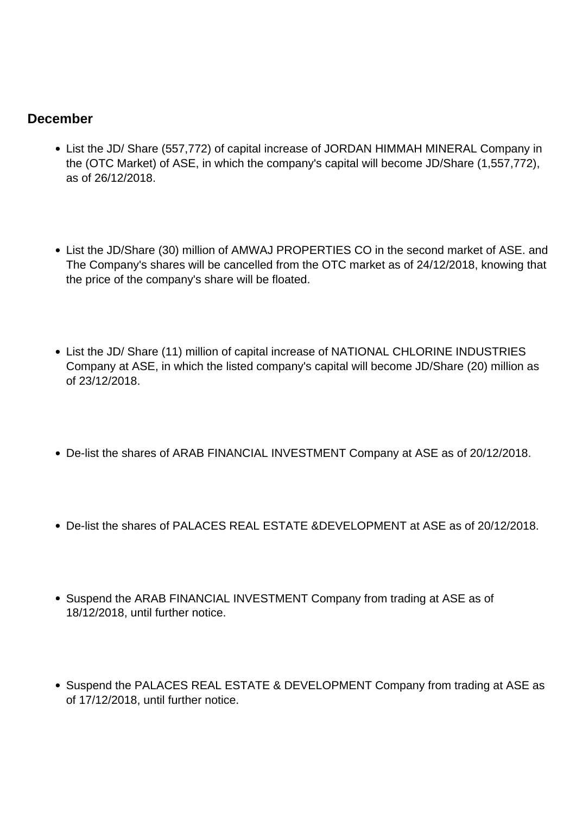### **December**

- List the JD/ Share (557,772) of capital increase of JORDAN HIMMAH MINERAL Company in the (OTC Market) of ASE, in which the company's capital will become JD/Share (1,557,772), as of 26/12/2018.
- List the JD/Share (30) million of AMWAJ PROPERTIES CO in the second market of ASE. and The Company's shares will be cancelled from the OTC market as of 24/12/2018, knowing that the price of the company's share will be floated.
- List the JD/ Share (11) million of capital increase of NATIONAL CHLORINE INDUSTRIES Company at ASE, in which the listed company's capital will become JD/Share (20) million as of 23/12/2018.
- De-list the shares of ARAB FINANCIAL INVESTMENT Company at ASE as of 20/12/2018.
- De-list the shares of PALACES REAL ESTATE &DEVELOPMENT at ASE as of 20/12/2018.
- Suspend the ARAB FINANCIAL INVESTMENT Company from trading at ASE as of 18/12/2018, until further notice.
- Suspend the PALACES REAL ESTATE & DEVELOPMENT Company from trading at ASE as of 17/12/2018, until further notice.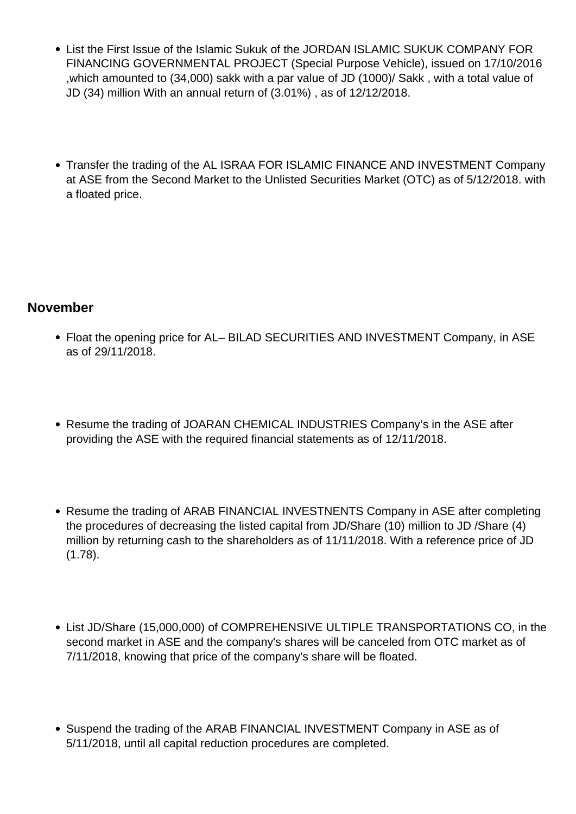- List the First Issue of the Islamic Sukuk of the JORDAN ISLAMIC SUKUK COMPANY FOR FINANCING GOVERNMENTAL PROJECT (Special Purpose Vehicle), issued on 17/10/2016 ,which amounted to (34,000) sakk with a par value of JD (1000)/ Sakk , with a total value of JD (34) million With an annual return of (3.01%) , as of 12/12/2018.
- Transfer the trading of the AL ISRAA FOR ISLAMIC FINANCE AND INVESTMENT Company at ASE from the Second Market to the Unlisted Securities Market (OTC) as of 5/12/2018. with a floated price.

# **November**

- Float the opening price for AL– BILAD SECURITIES AND INVESTMENT Company, in ASE as of 29/11/2018.
- Resume the trading of JOARAN CHEMICAL INDUSTRIES Company's in the ASE after providing the ASE with the required financial statements as of 12/11/2018.
- Resume the trading of ARAB FINANCIAL INVESTNENTS Company in ASE after completing the procedures of decreasing the listed capital from JD/Share (10) million to JD /Share (4) million by returning cash to the shareholders as of 11/11/2018. With a reference price of JD (1.78).
- List JD/Share (15,000,000) of COMPREHENSIVE ULTIPLE TRANSPORTATIONS CO, in the second market in ASE and the company's shares will be canceled from OTC market as of 7/11/2018, knowing that price of the company's share will be floated.
- Suspend the trading of the ARAB FINANCIAL INVESTMENT Company in ASE as of 5/11/2018, until all capital reduction procedures are completed.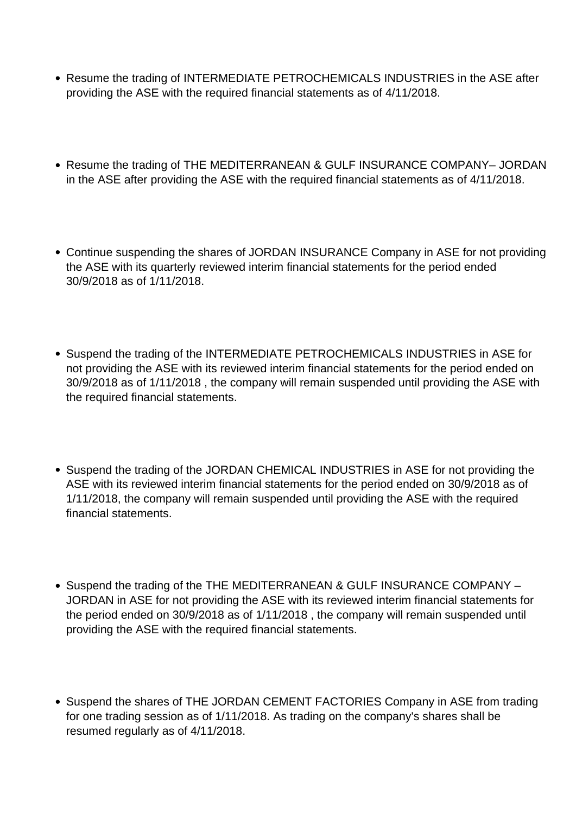- Resume the trading of INTERMEDIATE PETROCHEMICALS INDUSTRIES in the ASE after providing the ASE with the required financial statements as of 4/11/2018.
- Resume the trading of THE MEDITERRANEAN & GULF INSURANCE COMPANY– JORDAN in the ASE after providing the ASE with the required financial statements as of 4/11/2018.
- Continue suspending the shares of JORDAN INSURANCE Company in ASE for not providing the ASE with its quarterly reviewed interim financial statements for the period ended 30/9/2018 as of 1/11/2018.
- Suspend the trading of the INTERMEDIATE PETROCHEMICALS INDUSTRIES in ASE for not providing the ASE with its reviewed interim financial statements for the period ended on 30/9/2018 as of 1/11/2018 , the company will remain suspended until providing the ASE with the required financial statements.
- Suspend the trading of the JORDAN CHEMICAL INDUSTRIES in ASE for not providing the ASE with its reviewed interim financial statements for the period ended on 30/9/2018 as of 1/11/2018, the company will remain suspended until providing the ASE with the required financial statements.
- Suspend the trading of the THE MEDITERRANEAN & GULF INSURANCE COMPANY -JORDAN in ASE for not providing the ASE with its reviewed interim financial statements for the period ended on 30/9/2018 as of 1/11/2018 , the company will remain suspended until providing the ASE with the required financial statements.
- Suspend the shares of THE JORDAN CEMENT FACTORIES Company in ASE from trading for one trading session as of 1/11/2018. As trading on the company's shares shall be resumed regularly as of 4/11/2018.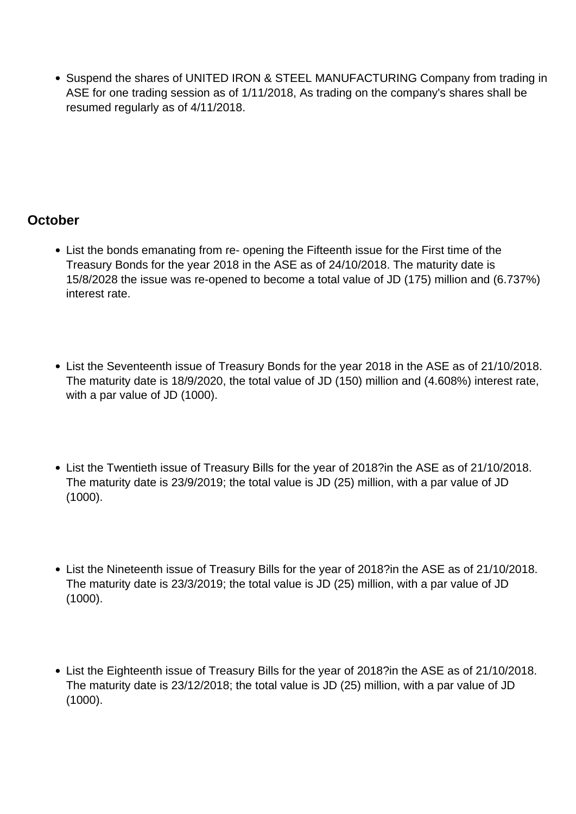Suspend the shares of UNITED IRON & STEEL MANUFACTURING Company from trading in ASE for one trading session as of 1/11/2018, As trading on the company's shares shall be resumed regularly as of 4/11/2018.

#### **October**

- List the bonds emanating from re- opening the Fifteenth issue for the First time of the Treasury Bonds for the year 2018 in the ASE as of 24/10/2018. The maturity date is 15/8/2028 the issue was re-opened to become a total value of JD (175) million and (6.737%) interest rate.
- List the Seventeenth issue of Treasury Bonds for the year 2018 in the ASE as of 21/10/2018. The maturity date is 18/9/2020, the total value of JD (150) million and (4.608%) interest rate, with a par value of JD (1000).
- List the Twentieth issue of Treasury Bills for the year of 2018?in the ASE as of 21/10/2018. The maturity date is 23/9/2019; the total value is JD (25) million, with a par value of JD (1000).
- List the Nineteenth issue of Treasury Bills for the year of 2018?in the ASE as of 21/10/2018. The maturity date is 23/3/2019; the total value is JD (25) million, with a par value of JD (1000).
- List the Eighteenth issue of Treasury Bills for the year of 2018?in the ASE as of 21/10/2018. The maturity date is 23/12/2018; the total value is JD (25) million, with a par value of JD (1000).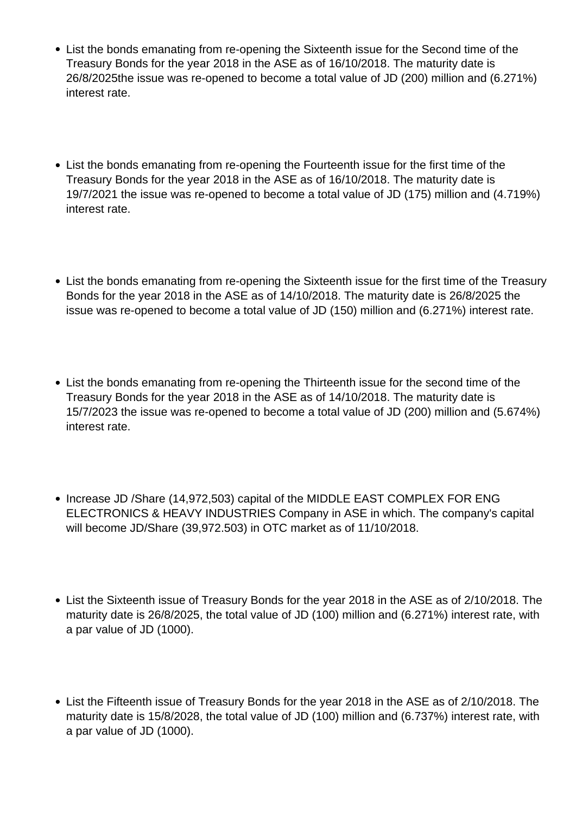- List the bonds emanating from re-opening the Sixteenth issue for the Second time of the Treasury Bonds for the year 2018 in the ASE as of 16/10/2018. The maturity date is 26/8/2025the issue was re-opened to become a total value of JD (200) million and (6.271%) interest rate.
- List the bonds emanating from re-opening the Fourteenth issue for the first time of the Treasury Bonds for the year 2018 in the ASE as of 16/10/2018. The maturity date is 19/7/2021 the issue was re-opened to become a total value of JD (175) million and (4.719%) interest rate.
- List the bonds emanating from re-opening the Sixteenth issue for the first time of the Treasury Bonds for the year 2018 in the ASE as of 14/10/2018. The maturity date is 26/8/2025 the issue was re-opened to become a total value of JD (150) million and (6.271%) interest rate.
- List the bonds emanating from re-opening the Thirteenth issue for the second time of the Treasury Bonds for the year 2018 in the ASE as of 14/10/2018. The maturity date is 15/7/2023 the issue was re-opened to become a total value of JD (200) million and (5.674%) interest rate.
- Increase JD /Share (14,972,503) capital of the MIDDLE EAST COMPLEX FOR ENG ELECTRONICS & HEAVY INDUSTRIES Company in ASE in which. The company's capital will become JD/Share (39,972.503) in OTC market as of 11/10/2018.
- List the Sixteenth issue of Treasury Bonds for the year 2018 in the ASE as of 2/10/2018. The maturity date is 26/8/2025, the total value of JD (100) million and (6.271%) interest rate, with a par value of JD (1000).
- List the Fifteenth issue of Treasury Bonds for the year 2018 in the ASE as of 2/10/2018. The maturity date is 15/8/2028, the total value of JD (100) million and (6.737%) interest rate, with a par value of JD (1000).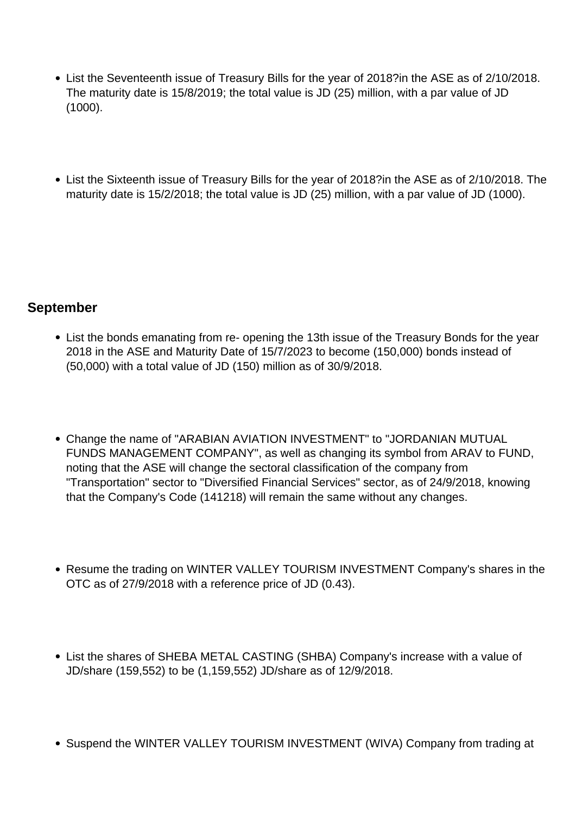- List the Seventeenth issue of Treasury Bills for the year of 2018?in the ASE as of 2/10/2018. The maturity date is 15/8/2019; the total value is JD (25) million, with a par value of JD (1000).
- List the Sixteenth issue of Treasury Bills for the year of 2018?in the ASE as of 2/10/2018. The maturity date is 15/2/2018; the total value is JD (25) million, with a par value of JD (1000).

# **September**

- List the bonds emanating from re- opening the 13th issue of the Treasury Bonds for the year 2018 in the ASE and Maturity Date of 15/7/2023 to become (150,000) bonds instead of (50,000) with a total value of JD (150) million as of 30/9/2018.
- Change the name of "ARABIAN AVIATION INVESTMENT" to "JORDANIAN MUTUAL FUNDS MANAGEMENT COMPANY", as well as changing its symbol from ARAV to FUND, noting that the ASE will change the sectoral classification of the company from "Transportation" sector to "Diversified Financial Services" sector, as of 24/9/2018, knowing that the Company's Code (141218) will remain the same without any changes.
- Resume the trading on WINTER VALLEY TOURISM INVESTMENT Company's shares in the OTC as of 27/9/2018 with a reference price of JD (0.43).
- List the shares of SHEBA METAL CASTING (SHBA) Company's increase with a value of JD/share (159,552) to be (1,159,552) JD/share as of 12/9/2018.
- Suspend the WINTER VALLEY TOURISM INVESTMENT (WIVA) Company from trading at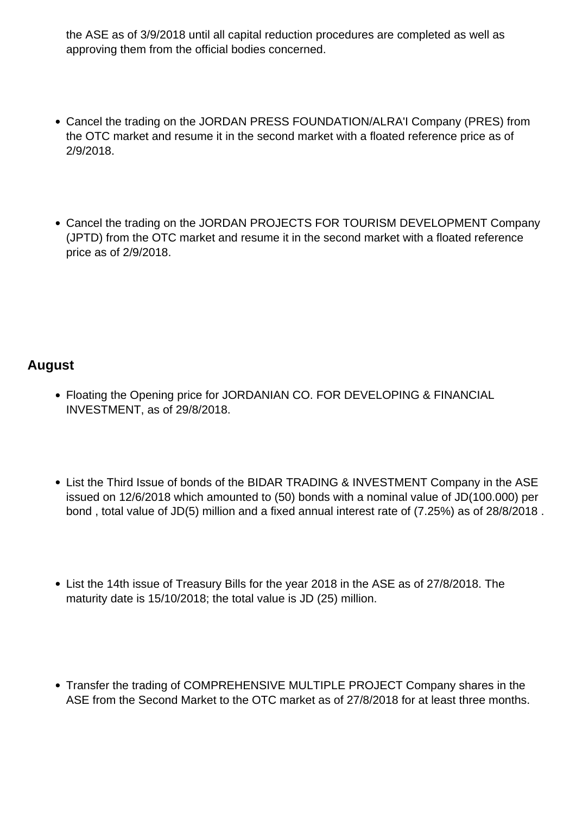the ASE as of 3/9/2018 until all capital reduction procedures are completed as well as approving them from the official bodies concerned.

- Cancel the trading on the JORDAN PRESS FOUNDATION/ALRA'I Company (PRES) from the OTC market and resume it in the second market with a floated reference price as of 2/9/2018.
- Cancel the trading on the JORDAN PROJECTS FOR TOURISM DEVELOPMENT Company (JPTD) from the OTC market and resume it in the second market with a floated reference price as of 2/9/2018.

# **August**

- Floating the Opening price for JORDANIAN CO. FOR DEVELOPING & FINANCIAL INVESTMENT, as of 29/8/2018.
- List the Third Issue of bonds of the BIDAR TRADING & INVESTMENT Company in the ASE issued on 12/6/2018 which amounted to (50) bonds with a nominal value of JD(100.000) per bond , total value of JD(5) million and a fixed annual interest rate of (7.25%) as of 28/8/2018 .
- List the 14th issue of Treasury Bills for the year 2018 in the ASE as of 27/8/2018. The maturity date is 15/10/2018; the total value is JD (25) million.
- Transfer the trading of COMPREHENSIVE MULTIPLE PROJECT Company shares in the ASE from the Second Market to the OTC market as of 27/8/2018 for at least three months.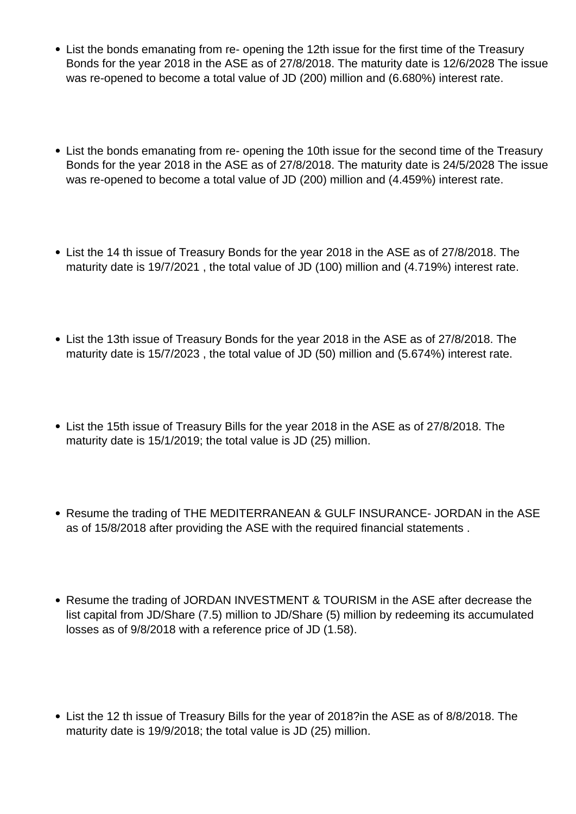- List the bonds emanating from re- opening the 12th issue for the first time of the Treasury Bonds for the year 2018 in the ASE as of 27/8/2018. The maturity date is 12/6/2028 The issue was re-opened to become a total value of JD (200) million and (6.680%) interest rate.
- List the bonds emanating from re- opening the 10th issue for the second time of the Treasury Bonds for the year 2018 in the ASE as of 27/8/2018. The maturity date is 24/5/2028 The issue was re-opened to become a total value of JD (200) million and (4.459%) interest rate.
- List the 14 th issue of Treasury Bonds for the year 2018 in the ASE as of 27/8/2018. The maturity date is 19/7/2021 , the total value of JD (100) million and (4.719%) interest rate.
- List the 13th issue of Treasury Bonds for the year 2018 in the ASE as of 27/8/2018. The maturity date is 15/7/2023 , the total value of JD (50) million and (5.674%) interest rate.
- List the 15th issue of Treasury Bills for the year 2018 in the ASE as of 27/8/2018. The maturity date is 15/1/2019; the total value is JD (25) million.
- Resume the trading of THE MEDITERRANEAN & GULF INSURANCE- JORDAN in the ASE as of 15/8/2018 after providing the ASE with the required financial statements .
- Resume the trading of JORDAN INVESTMENT & TOURISM in the ASE after decrease the list capital from JD/Share (7.5) million to JD/Share (5) million by redeeming its accumulated losses as of 9/8/2018 with a reference price of JD (1.58).
- List the 12 th issue of Treasury Bills for the year of 2018?in the ASE as of 8/8/2018. The maturity date is 19/9/2018; the total value is JD (25) million.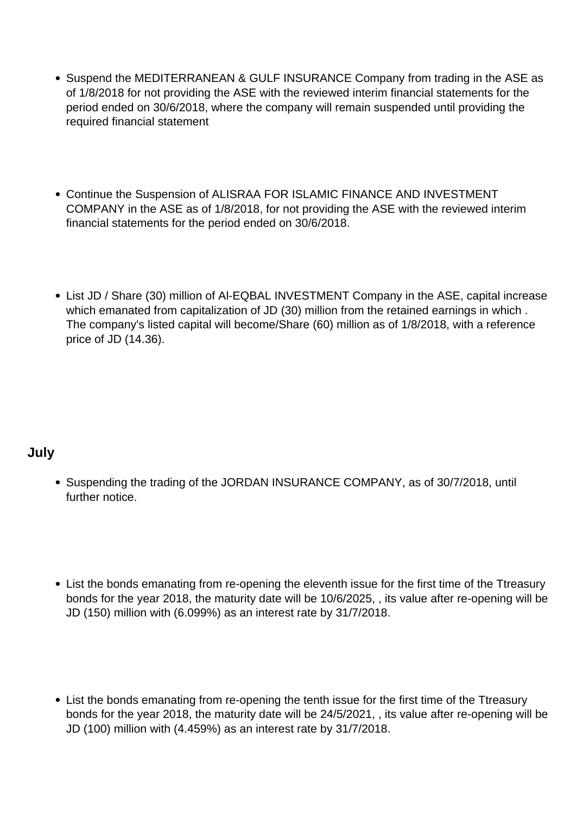- Suspend the MEDITERRANEAN & GULF INSURANCE Company from trading in the ASE as of 1/8/2018 for not providing the ASE with the reviewed interim financial statements for the period ended on 30/6/2018, where the company will remain suspended until providing the required financial statement
- Continue the Suspension of ALISRAA FOR ISLAMIC FINANCE AND INVESTMENT COMPANY in the ASE as of 1/8/2018, for not providing the ASE with the reviewed interim financial statements for the period ended on 30/6/2018.
- List JD / Share (30) million of AI-EQBAL INVESTMENT Company in the ASE, capital increase which emanated from capitalization of JD (30) million from the retained earnings in which. The company's listed capital will become/Share (60) million as of 1/8/2018, with a reference price of JD (14.36).

# **July**

- Suspending the trading of the JORDAN INSURANCE COMPANY, as of 30/7/2018, until further notice.
- List the bonds emanating from re-opening the eleventh issue for the first time of the Ttreasury bonds for the year 2018, the maturity date will be 10/6/2025, , its value after re-opening will be JD (150) million with (6.099%) as an interest rate by 31/7/2018.
- List the bonds emanating from re-opening the tenth issue for the first time of the Ttreasury bonds for the year 2018, the maturity date will be 24/5/2021, , its value after re-opening will be JD (100) million with (4.459%) as an interest rate by 31/7/2018.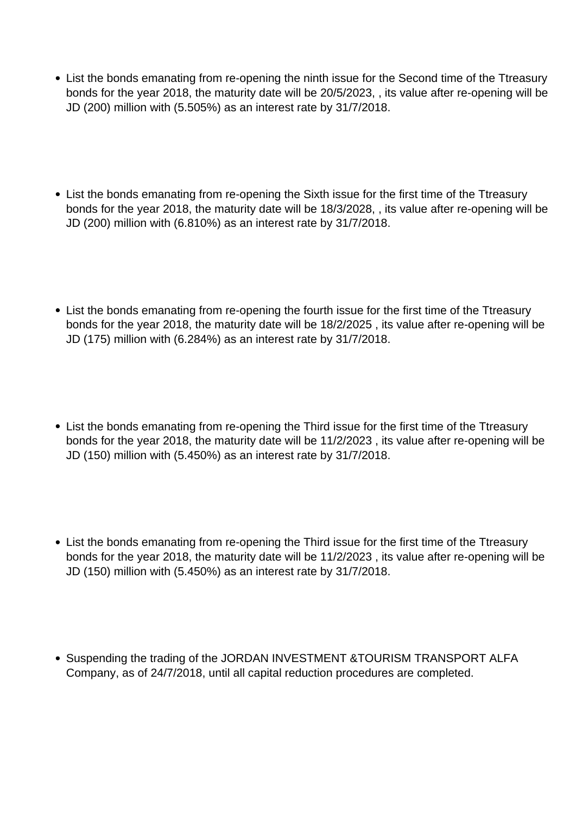- List the bonds emanating from re-opening the ninth issue for the Second time of the Ttreasury bonds for the year 2018, the maturity date will be 20/5/2023, , its value after re-opening will be JD (200) million with (5.505%) as an interest rate by 31/7/2018.
- List the bonds emanating from re-opening the Sixth issue for the first time of the Ttreasury bonds for the year 2018, the maturity date will be 18/3/2028, , its value after re-opening will be JD (200) million with (6.810%) as an interest rate by 31/7/2018.
- List the bonds emanating from re-opening the fourth issue for the first time of the Ttreasury bonds for the year 2018, the maturity date will be 18/2/2025 , its value after re-opening will be JD (175) million with (6.284%) as an interest rate by 31/7/2018.
- List the bonds emanating from re-opening the Third issue for the first time of the Ttreasury bonds for the year 2018, the maturity date will be 11/2/2023 , its value after re-opening will be JD (150) million with (5.450%) as an interest rate by 31/7/2018.
- List the bonds emanating from re-opening the Third issue for the first time of the Ttreasury bonds for the year 2018, the maturity date will be 11/2/2023 , its value after re-opening will be JD (150) million with (5.450%) as an interest rate by 31/7/2018.
- Suspending the trading of the JORDAN INVESTMENT &TOURISM TRANSPORT ALFA Company, as of 24/7/2018, until all capital reduction procedures are completed.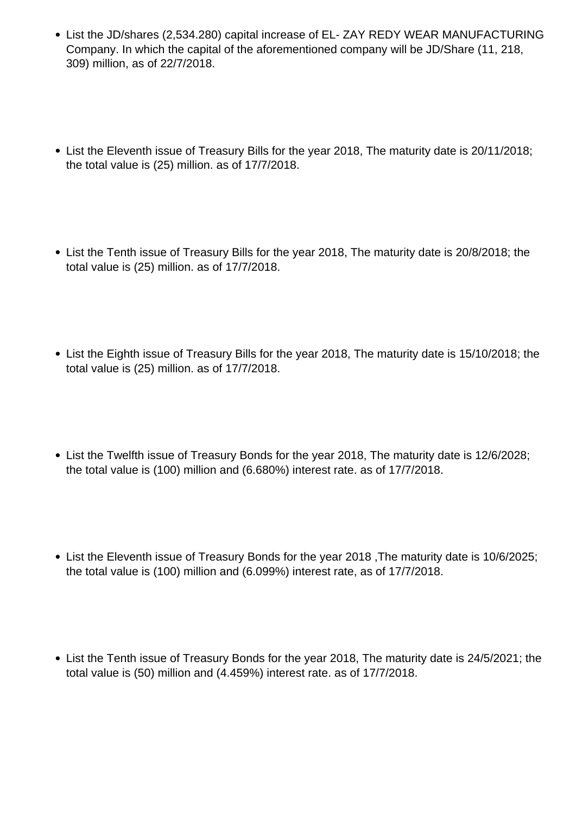- List the JD/shares (2,534,280) capital increase of EL- ZAY REDY WEAR MANUFACTURING Company. In which the capital of the aforementioned company will be JD/Share (11, 218, 309) million, as of 22/7/2018.
- List the Eleventh issue of Treasury Bills for the year 2018, The maturity date is 20/11/2018; the total value is (25) million. as of 17/7/2018.
- List the Tenth issue of Treasury Bills for the year 2018, The maturity date is 20/8/2018; the total value is (25) million. as of 17/7/2018.
- List the Eighth issue of Treasury Bills for the year 2018, The maturity date is 15/10/2018; the total value is (25) million. as of 17/7/2018.
- List the Twelfth issue of Treasury Bonds for the year 2018, The maturity date is 12/6/2028; the total value is (100) million and (6.680%) interest rate. as of 17/7/2018.
- List the Eleventh issue of Treasury Bonds for the year 2018 ,The maturity date is 10/6/2025; the total value is (100) million and (6.099%) interest rate, as of 17/7/2018.
- List the Tenth issue of Treasury Bonds for the year 2018, The maturity date is 24/5/2021; the total value is (50) million and (4.459%) interest rate. as of 17/7/2018.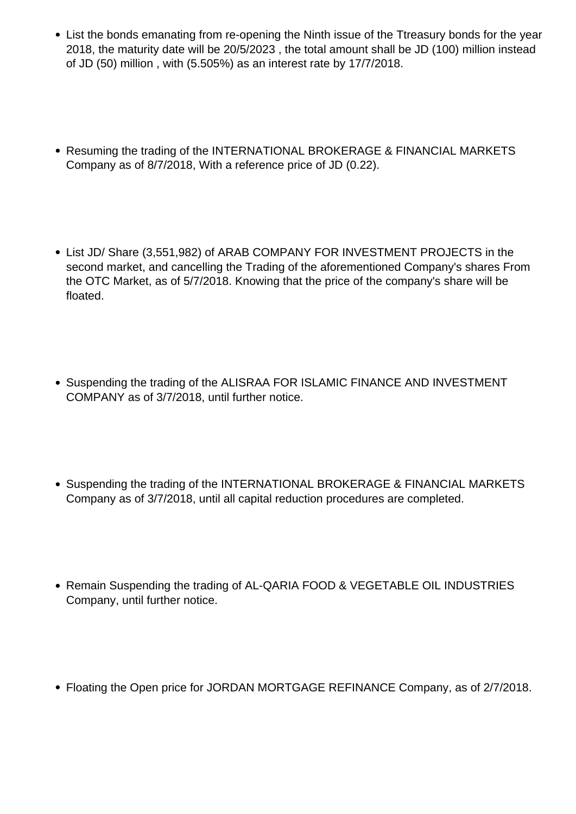- List the bonds emanating from re-opening the Ninth issue of the Ttreasury bonds for the year 2018, the maturity date will be 20/5/2023 , the total amount shall be JD (100) million instead of JD (50) million , with (5.505%) as an interest rate by 17/7/2018.
- Resuming the trading of the INTERNATIONAL BROKERAGE & FINANCIAL MARKETS Company as of 8/7/2018, With a reference price of JD (0.22).
- List JD/ Share (3,551,982) of ARAB COMPANY FOR INVESTMENT PROJECTS in the second market, and cancelling the Trading of the aforementioned Company's shares From the OTC Market, as of 5/7/2018. Knowing that the price of the company's share will be floated.
- Suspending the trading of the ALISRAA FOR ISLAMIC FINANCE AND INVESTMENT COMPANY as of 3/7/2018, until further notice.
- Suspending the trading of the INTERNATIONAL BROKERAGE & FINANCIAL MARKETS Company as of 3/7/2018, until all capital reduction procedures are completed.
- Remain Suspending the trading of AL-QARIA FOOD & VEGETABLE OIL INDUSTRIES Company, until further notice.
- Floating the Open price for JORDAN MORTGAGE REFINANCE Company, as of 2/7/2018.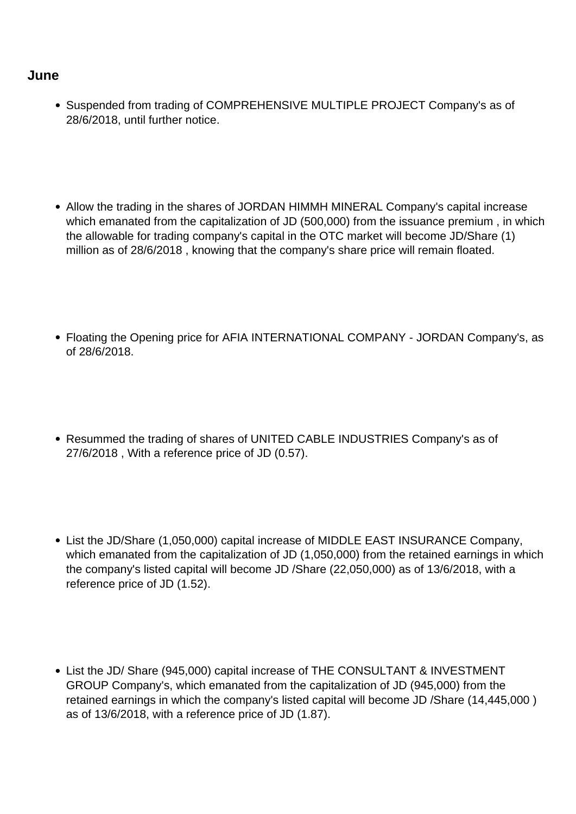#### **June**

- Suspended from trading of COMPREHENSIVE MULTIPLE PROJECT Company's as of 28/6/2018, until further notice.
- Allow the trading in the shares of JORDAN HIMMH MINERAL Company's capital increase which emanated from the capitalization of JD (500,000) from the issuance premium, in which the allowable for trading company's capital in the OTC market will become JD/Share (1) million as of 28/6/2018 , knowing that the company's share price will remain floated.
- Floating the Opening price for AFIA INTERNATIONAL COMPANY JORDAN Company's, as of 28/6/2018.
- Resummed the trading of shares of UNITED CABLE INDUSTRIES Company's as of 27/6/2018 , With a reference price of JD (0.57).
- List the JD/Share (1,050,000) capital increase of MIDDLE EAST INSURANCE Company, which emanated from the capitalization of JD (1,050,000) from the retained earnings in which the company's listed capital will become JD /Share (22,050,000) as of 13/6/2018, with a reference price of JD (1.52).
- List the JD/ Share (945,000) capital increase of THE CONSULTANT & INVESTMENT GROUP Company's, which emanated from the capitalization of JD (945,000) from the retained earnings in which the company's listed capital will become JD /Share (14,445,000 ) as of 13/6/2018, with a reference price of JD (1.87).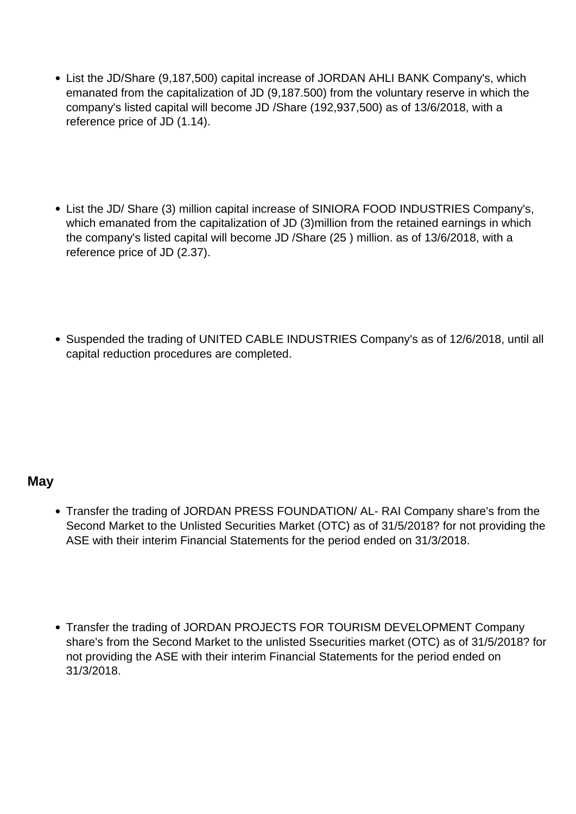- List the JD/Share (9,187,500) capital increase of JORDAN AHLI BANK Company's, which emanated from the capitalization of JD (9,187.500) from the voluntary reserve in which the company's listed capital will become JD /Share (192,937,500) as of 13/6/2018, with a reference price of JD (1.14).
- List the JD/ Share (3) million capital increase of SINIORA FOOD INDUSTRIES Company's, which emanated from the capitalization of JD (3)million from the retained earnings in which the company's listed capital will become JD /Share (25 ) million. as of 13/6/2018, with a reference price of JD (2.37).
- Suspended the trading of UNITED CABLE INDUSTRIES Company's as of 12/6/2018, until all capital reduction procedures are completed.

### **May**

- Transfer the trading of JORDAN PRESS FOUNDATION/ AL- RAI Company share's from the Second Market to the Unlisted Securities Market (OTC) as of 31/5/2018? for not providing the ASE with their interim Financial Statements for the period ended on 31/3/2018.
- Transfer the trading of JORDAN PROJECTS FOR TOURISM DEVELOPMENT Company share's from the Second Market to the unlisted Ssecurities market (OTC) as of 31/5/2018? for not providing the ASE with their interim Financial Statements for the period ended on 31/3/2018.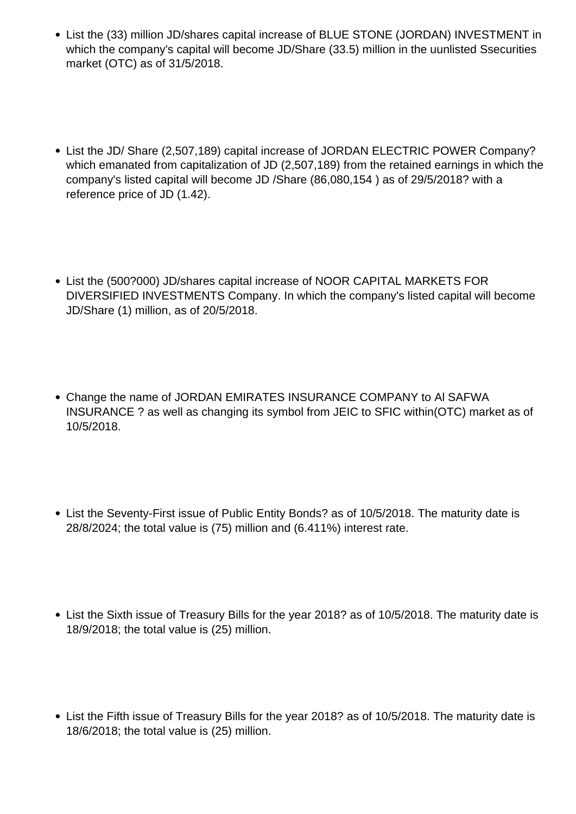- List the (33) million JD/shares capital increase of BLUE STONE (JORDAN) INVESTMENT in which the company's capital will become JD/Share (33.5) million in the uunlisted Ssecurities market (OTC) as of 31/5/2018.
- List the JD/ Share (2,507,189) capital increase of JORDAN ELECTRIC POWER Company? which emanated from capitalization of JD (2,507,189) from the retained earnings in which the company's listed capital will become JD /Share (86,080,154 ) as of 29/5/2018? with a reference price of JD (1.42).
- List the (500?000) JD/shares capital increase of NOOR CAPITAL MARKETS FOR DIVERSIFIED INVESTMENTS Company. In which the company's listed capital will become JD/Share (1) million, as of 20/5/2018.
- Change the name of JORDAN EMIRATES INSURANCE COMPANY to Al SAFWA INSURANCE ? as well as changing its symbol from JEIC to SFIC within(OTC) market as of 10/5/2018.
- List the Seventy-First issue of Public Entity Bonds? as of 10/5/2018. The maturity date is 28/8/2024; the total value is (75) million and (6.411%) interest rate.
- List the Sixth issue of Treasury Bills for the year 2018? as of 10/5/2018. The maturity date is 18/9/2018; the total value is (25) million.
- List the Fifth issue of Treasury Bills for the year 2018? as of 10/5/2018. The maturity date is 18/6/2018; the total value is (25) million.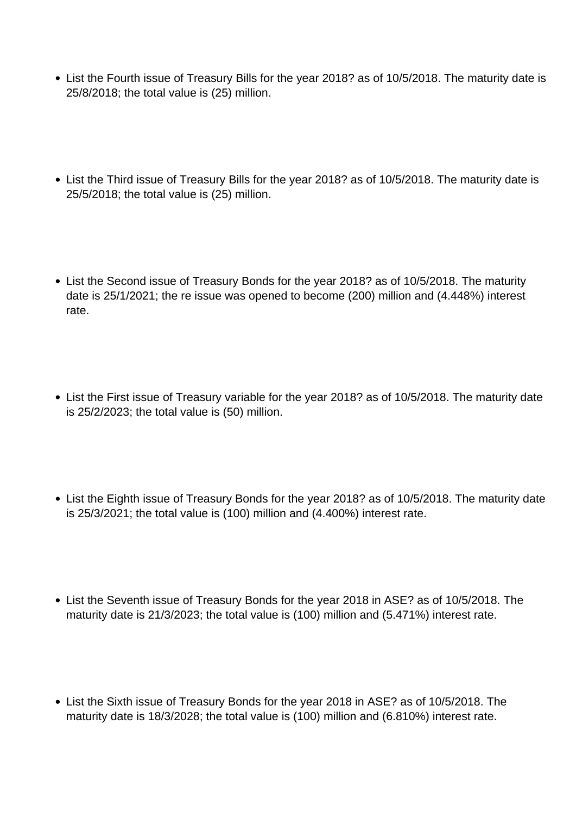- List the Fourth issue of Treasury Bills for the year 2018? as of 10/5/2018. The maturity date is 25/8/2018; the total value is (25) million.
- List the Third issue of Treasury Bills for the year 2018? as of 10/5/2018. The maturity date is 25/5/2018; the total value is (25) million.
- List the Second issue of Treasury Bonds for the year 2018? as of 10/5/2018. The maturity date is 25/1/2021; the re issue was opened to become (200) million and (4.448%) interest rate.
- List the First issue of Treasury variable for the year 2018? as of 10/5/2018. The maturity date is 25/2/2023; the total value is (50) million.
- List the Eighth issue of Treasury Bonds for the year 2018? as of 10/5/2018. The maturity date is 25/3/2021; the total value is (100) million and (4.400%) interest rate.
- List the Seventh issue of Treasury Bonds for the year 2018 in ASE? as of 10/5/2018. The maturity date is 21/3/2023; the total value is (100) million and (5.471%) interest rate.
- List the Sixth issue of Treasury Bonds for the year 2018 in ASE? as of 10/5/2018. The maturity date is 18/3/2028; the total value is (100) million and (6.810%) interest rate.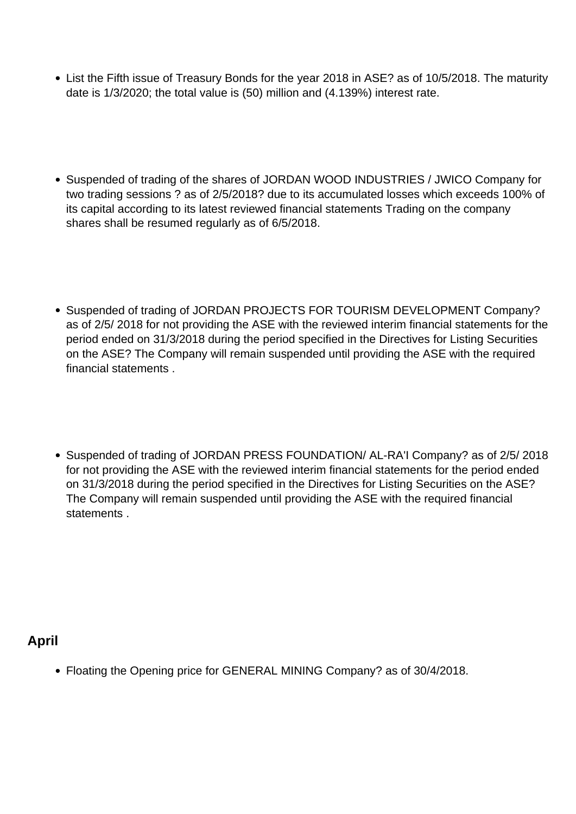- List the Fifth issue of Treasury Bonds for the year 2018 in ASE? as of 10/5/2018. The maturity date is 1/3/2020; the total value is (50) million and (4.139%) interest rate.
- Suspended of trading of the shares of JORDAN WOOD INDUSTRIES / JWICO Company for two trading sessions ? as of 2/5/2018? due to its accumulated losses which exceeds 100% of its capital according to its latest reviewed financial statements Trading on the company shares shall be resumed regularly as of 6/5/2018.
- Suspended of trading of JORDAN PROJECTS FOR TOURISM DEVELOPMENT Company? as of 2/5/ 2018 for not providing the ASE with the reviewed interim financial statements for the period ended on 31/3/2018 during the period specified in the Directives for Listing Securities on the ASE? The Company will remain suspended until providing the ASE with the required financial statements .
- Suspended of trading of JORDAN PRESS FOUNDATION/ AL-RA'I Company? as of 2/5/ 2018 for not providing the ASE with the reviewed interim financial statements for the period ended on 31/3/2018 during the period specified in the Directives for Listing Securities on the ASE? The Company will remain suspended until providing the ASE with the required financial statements .

# **April**

Floating the Opening price for GENERAL MINING Company? as of 30/4/2018.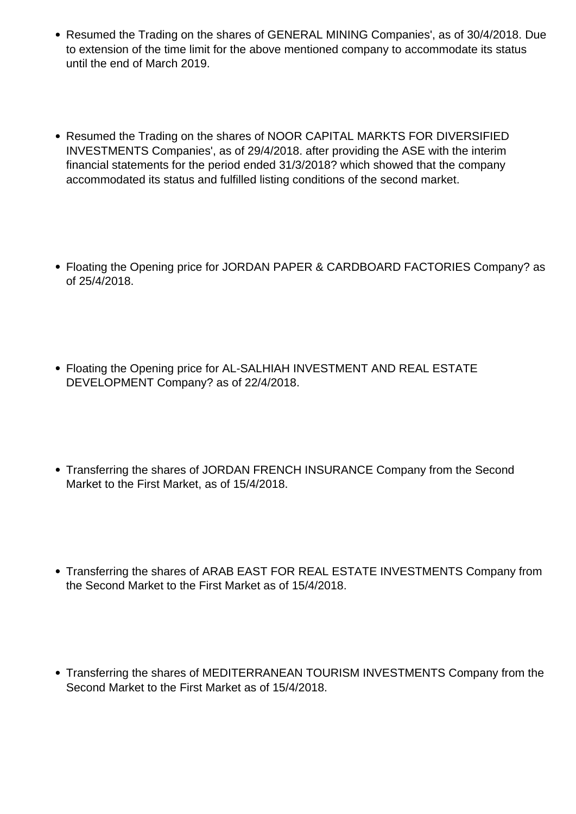- Resumed the Trading on the shares of GENERAL MINING Companies', as of 30/4/2018. Due to extension of the time limit for the above mentioned company to accommodate its status until the end of March 2019.
- Resumed the Trading on the shares of NOOR CAPITAL MARKTS FOR DIVERSIFIED INVESTMENTS Companies', as of 29/4/2018. after providing the ASE with the interim financial statements for the period ended 31/3/2018? which showed that the company accommodated its status and fulfilled listing conditions of the second market.
- Floating the Opening price for JORDAN PAPER & CARDBOARD FACTORIES Company? as of 25/4/2018.
- Floating the Opening price for AL-SALHIAH INVESTMENT AND REAL ESTATE DEVELOPMENT Company? as of 22/4/2018.
- Transferring the shares of JORDAN FRENCH INSURANCE Company from the Second Market to the First Market, as of 15/4/2018.
- Transferring the shares of ARAB EAST FOR REAL ESTATE INVESTMENTS Company from the Second Market to the First Market as of 15/4/2018.
- Transferring the shares of MEDITERRANEAN TOURISM INVESTMENTS Company from the Second Market to the First Market as of 15/4/2018.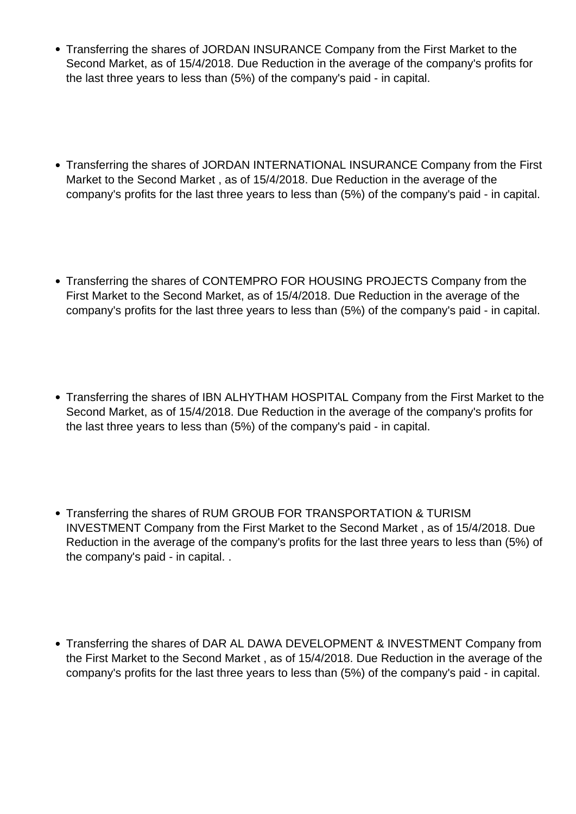- Transferring the shares of JORDAN INSURANCE Company from the First Market to the Second Market, as of 15/4/2018. Due Reduction in the average of the company's profits for the last three years to less than (5%) of the company's paid - in capital.
- Transferring the shares of JORDAN INTERNATIONAL INSURANCE Company from the First Market to the Second Market , as of 15/4/2018. Due Reduction in the average of the company's profits for the last three years to less than (5%) of the company's paid - in capital.
- Transferring the shares of CONTEMPRO FOR HOUSING PROJECTS Company from the First Market to the Second Market, as of 15/4/2018. Due Reduction in the average of the company's profits for the last three years to less than (5%) of the company's paid - in capital.
- Transferring the shares of IBN ALHYTHAM HOSPITAL Company from the First Market to the Second Market, as of 15/4/2018. Due Reduction in the average of the company's profits for the last three years to less than (5%) of the company's paid - in capital.
- Transferring the shares of RUM GROUB FOR TRANSPORTATION & TURISM INVESTMENT Company from the First Market to the Second Market , as of 15/4/2018. Due Reduction in the average of the company's profits for the last three years to less than (5%) of the company's paid - in capital. .
- Transferring the shares of DAR AL DAWA DEVELOPMENT & INVESTMENT Company from the First Market to the Second Market , as of 15/4/2018. Due Reduction in the average of the company's profits for the last three years to less than (5%) of the company's paid - in capital.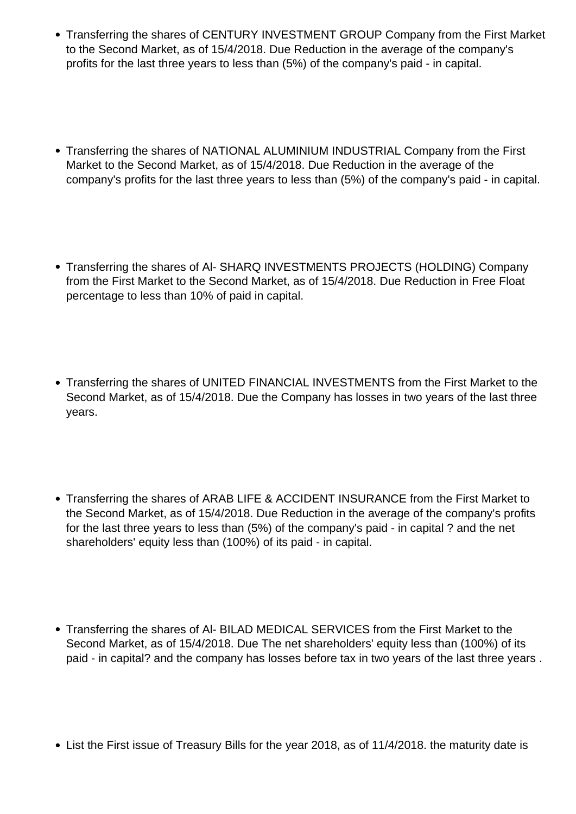- Transferring the shares of CENTURY INVESTMENT GROUP Company from the First Market to the Second Market, as of 15/4/2018. Due Reduction in the average of the company's profits for the last three years to less than (5%) of the company's paid - in capital.
- Transferring the shares of NATIONAL ALUMINIUM INDUSTRIAL Company from the First Market to the Second Market, as of 15/4/2018. Due Reduction in the average of the company's profits for the last three years to less than (5%) of the company's paid - in capital.
- Transferring the shares of Al- SHARQ INVESTMENTS PROJECTS (HOLDING) Company from the First Market to the Second Market, as of 15/4/2018. Due Reduction in Free Float percentage to less than 10% of paid in capital.
- Transferring the shares of UNITED FINANCIAL INVESTMENTS from the First Market to the Second Market, as of 15/4/2018. Due the Company has losses in two years of the last three years.
- Transferring the shares of ARAB LIFE & ACCIDENT INSURANCE from the First Market to the Second Market, as of 15/4/2018. Due Reduction in the average of the company's profits for the last three years to less than (5%) of the company's paid - in capital ? and the net shareholders' equity less than (100%) of its paid - in capital.
- Transferring the shares of Al- BILAD MEDICAL SERVICES from the First Market to the Second Market, as of 15/4/2018. Due The net shareholders' equity less than (100%) of its paid - in capital? and the company has losses before tax in two years of the last three years .
- List the First issue of Treasury Bills for the year 2018, as of 11/4/2018. the maturity date is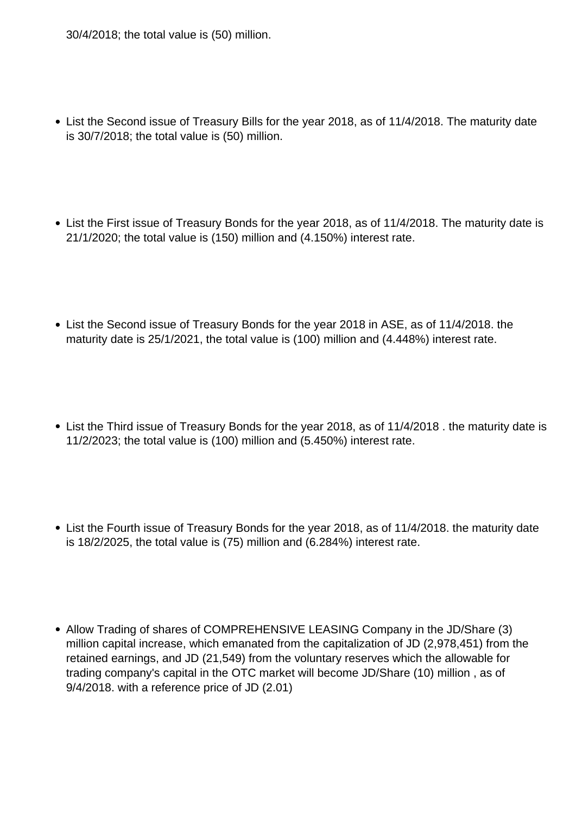30/4/2018; the total value is (50) million.

- List the Second issue of Treasury Bills for the year 2018, as of 11/4/2018. The maturity date is 30/7/2018; the total value is (50) million.
- List the First issue of Treasury Bonds for the year 2018, as of 11/4/2018. The maturity date is 21/1/2020; the total value is (150) million and (4.150%) interest rate.
- List the Second issue of Treasury Bonds for the year 2018 in ASE, as of 11/4/2018. the maturity date is 25/1/2021, the total value is (100) million and (4.448%) interest rate.
- List the Third issue of Treasury Bonds for the year 2018, as of 11/4/2018. the maturity date is 11/2/2023; the total value is (100) million and (5.450%) interest rate.
- List the Fourth issue of Treasury Bonds for the year 2018, as of 11/4/2018. the maturity date is 18/2/2025, the total value is (75) million and (6.284%) interest rate.
- Allow Trading of shares of COMPREHENSIVE LEASING Company in the JD/Share (3) million capital increase, which emanated from the capitalization of JD (2,978,451) from the retained earnings, and JD (21,549) from the voluntary reserves which the allowable for trading company's capital in the OTC market will become JD/Share (10) million , as of 9/4/2018. with a reference price of JD (2.01)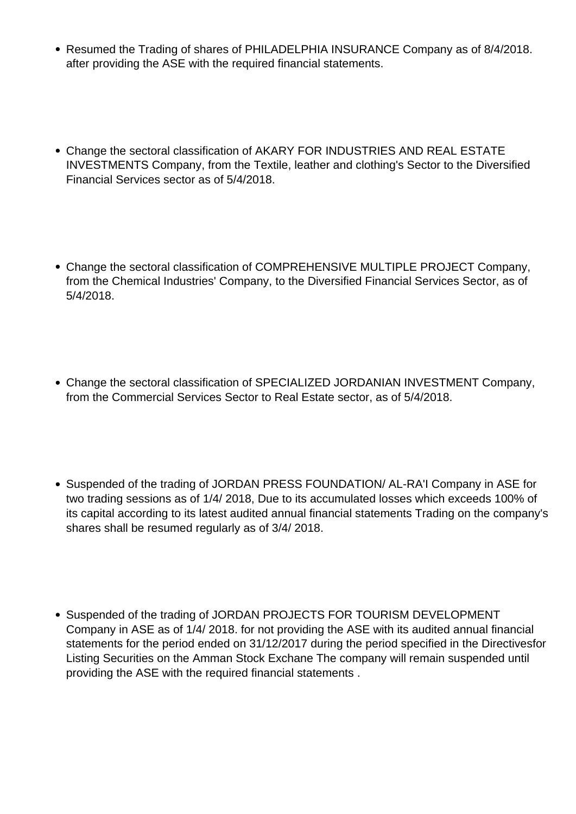- Resumed the Trading of shares of PHILADELPHIA INSURANCE Company as of 8/4/2018. after providing the ASE with the required financial statements.
- Change the sectoral classification of AKARY FOR INDUSTRIES AND REAL ESTATE INVESTMENTS Company, from the Textile, leather and clothing's Sector to the Diversified Financial Services sector as of 5/4/2018.
- Change the sectoral classification of COMPREHENSIVE MULTIPLE PROJECT Company, from the Chemical Industries' Company, to the Diversified Financial Services Sector, as of 5/4/2018.
- Change the sectoral classification of SPECIALIZED JORDANIAN INVESTMENT Company, from the Commercial Services Sector to Real Estate sector, as of 5/4/2018.
- Suspended of the trading of JORDAN PRESS FOUNDATION/ AL-RA'I Company in ASE for two trading sessions as of 1/4/ 2018, Due to its accumulated losses which exceeds 100% of its capital according to its latest audited annual financial statements Trading on the company's shares shall be resumed regularly as of 3/4/ 2018.
- Suspended of the trading of JORDAN PROJECTS FOR TOURISM DEVELOPMENT Company in ASE as of 1/4/ 2018. for not providing the ASE with its audited annual financial statements for the period ended on 31/12/2017 during the period specified in the Directivesfor Listing Securities on the Amman Stock Exchane The company will remain suspended until providing the ASE with the required financial statements .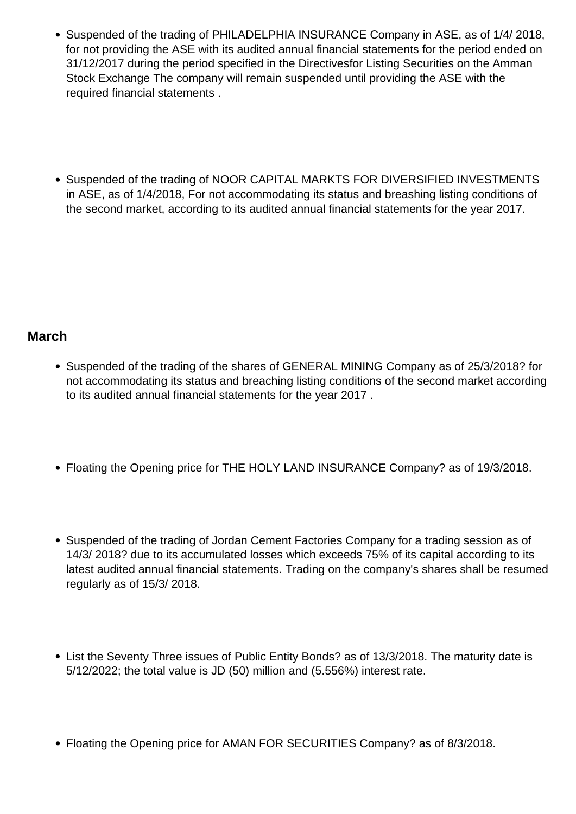- Suspended of the trading of PHILADELPHIA INSURANCE Company in ASE, as of 1/4/ 2018, for not providing the ASE with its audited annual financial statements for the period ended on 31/12/2017 during the period specified in the Directivesfor Listing Securities on the Amman Stock Exchange The company will remain suspended until providing the ASE with the required financial statements .
- Suspended of the trading of NOOR CAPITAL MARKTS FOR DIVERSIFIED INVESTMENTS in ASE, as of 1/4/2018, For not accommodating its status and breashing listing conditions of the second market, according to its audited annual financial statements for the year 2017.

# **March**

- Suspended of the trading of the shares of GENERAL MINING Company as of 25/3/2018? for not accommodating its status and breaching listing conditions of the second market according to its audited annual financial statements for the year 2017 .
- Floating the Opening price for THE HOLY LAND INSURANCE Company? as of 19/3/2018.
- Suspended of the trading of Jordan Cement Factories Company for a trading session as of 14/3/ 2018? due to its accumulated losses which exceeds 75% of its capital according to its latest audited annual financial statements. Trading on the company's shares shall be resumed regularly as of 15/3/ 2018.
- List the Seventy Three issues of Public Entity Bonds? as of 13/3/2018. The maturity date is 5/12/2022; the total value is JD (50) million and (5.556%) interest rate.
- Floating the Opening price for AMAN FOR SECURITIES Company? as of 8/3/2018.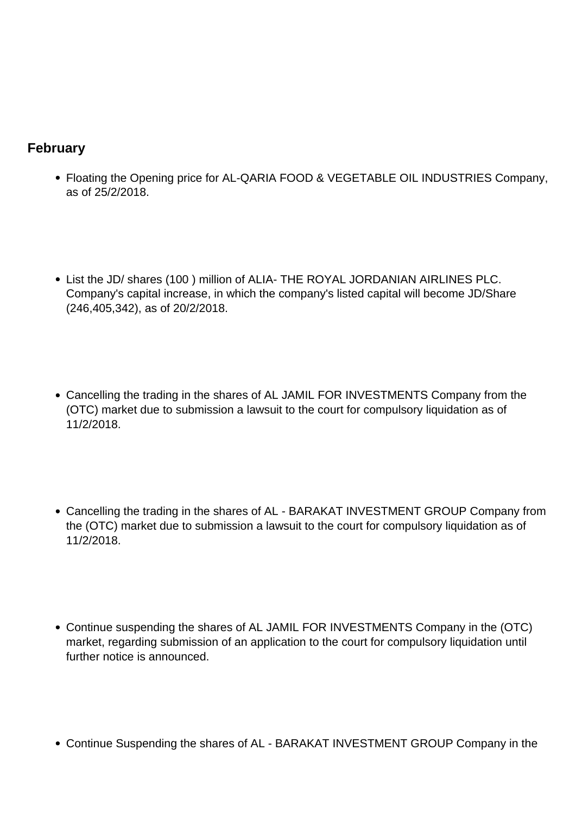# **February**

- Floating the Opening price for AL-QARIA FOOD & VEGETABLE OIL INDUSTRIES Company, as of 25/2/2018.
- List the JD/ shares (100 ) million of ALIA- THE ROYAL JORDANIAN AIRLINES PLC. Company's capital increase, in which the company's listed capital will become JD/Share (246,405,342), as of 20/2/2018.
- Cancelling the trading in the shares of AL JAMIL FOR INVESTMENTS Company from the (OTC) market due to submission a lawsuit to the court for compulsory liquidation as of 11/2/2018.
- Cancelling the trading in the shares of AL BARAKAT INVESTMENT GROUP Company from the (OTC) market due to submission a lawsuit to the court for compulsory liquidation as of 11/2/2018.
- Continue suspending the shares of AL JAMIL FOR INVESTMENTS Company in the (OTC) market, regarding submission of an application to the court for compulsory liquidation until further notice is announced.
- Continue Suspending the shares of AL BARAKAT INVESTMENT GROUP Company in the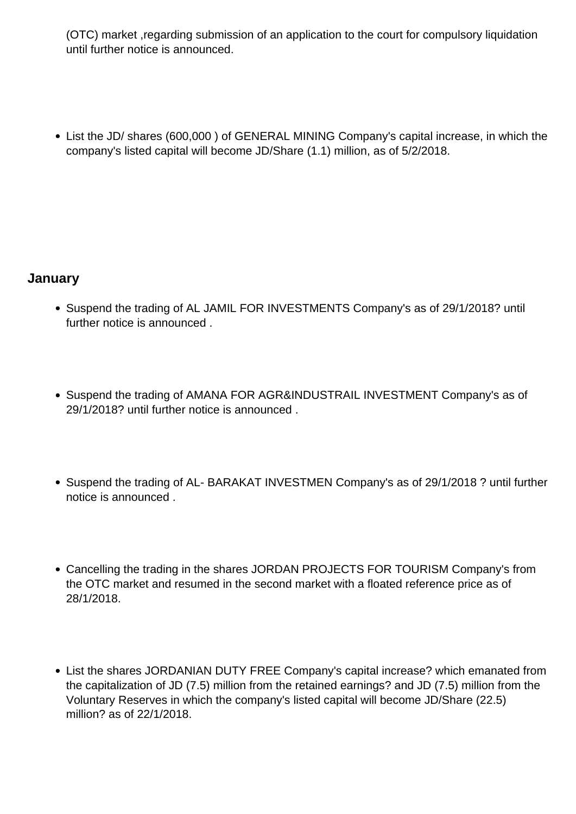(OTC) market ,regarding submission of an application to the court for compulsory liquidation until further notice is announced.

List the JD/ shares (600,000 ) of GENERAL MINING Company's capital increase, in which the company's listed capital will become JD/Share (1.1) million, as of 5/2/2018.

# **January**

- Suspend the trading of AL JAMIL FOR INVESTMENTS Company's as of 29/1/2018? until further notice is announced .
- Suspend the trading of AMANA FOR AGR&INDUSTRAIL INVESTMENT Company's as of 29/1/2018? until further notice is announced .
- Suspend the trading of AL-BARAKAT INVESTMEN Company's as of 29/1/2018 ? until further notice is announced .
- Cancelling the trading in the shares JORDAN PROJECTS FOR TOURISM Company's from the OTC market and resumed in the second market with a floated reference price as of 28/1/2018.
- List the shares JORDANIAN DUTY FREE Company's capital increase? which emanated from the capitalization of JD (7.5) million from the retained earnings? and JD (7.5) million from the Voluntary Reserves in which the company's listed capital will become JD/Share (22.5) million? as of 22/1/2018.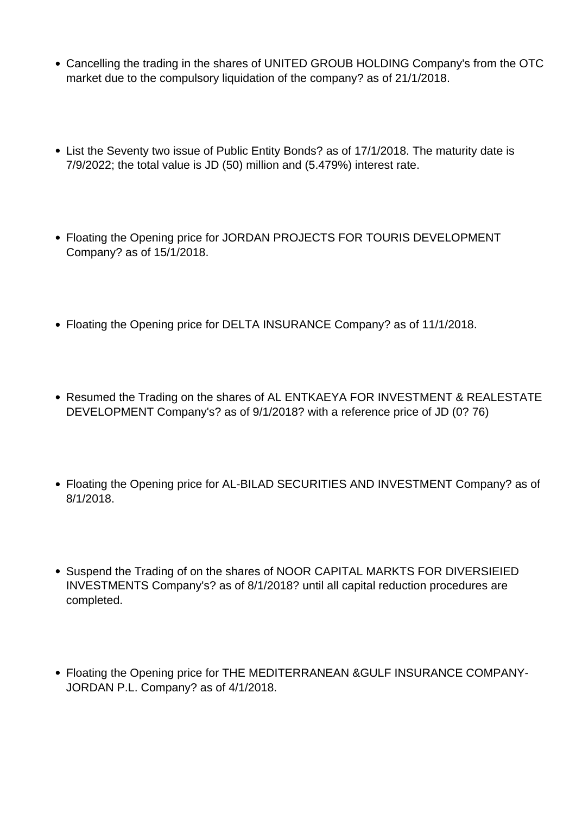- Cancelling the trading in the shares of UNITED GROUB HOLDING Company's from the OTC market due to the compulsory liquidation of the company? as of 21/1/2018.
- List the Seventy two issue of Public Entity Bonds? as of 17/1/2018. The maturity date is 7/9/2022; the total value is JD (50) million and (5.479%) interest rate.
- Floating the Opening price for JORDAN PROJECTS FOR TOURIS DEVELOPMENT Company? as of 15/1/2018.
- Floating the Opening price for DELTA INSURANCE Company? as of 11/1/2018.
- Resumed the Trading on the shares of AL ENTKAEYA FOR INVESTMENT & REALESTATE DEVELOPMENT Company's? as of 9/1/2018? with a reference price of JD (0? 76)
- Floating the Opening price for AL-BILAD SECURITIES AND INVESTMENT Company? as of 8/1/2018.
- Suspend the Trading of on the shares of NOOR CAPITAL MARKTS FOR DIVERSIEIED INVESTMENTS Company's? as of 8/1/2018? until all capital reduction procedures are completed.
- Floating the Opening price for THE MEDITERRANEAN &GULF INSURANCE COMPANY-JORDAN P.L. Company? as of 4/1/2018.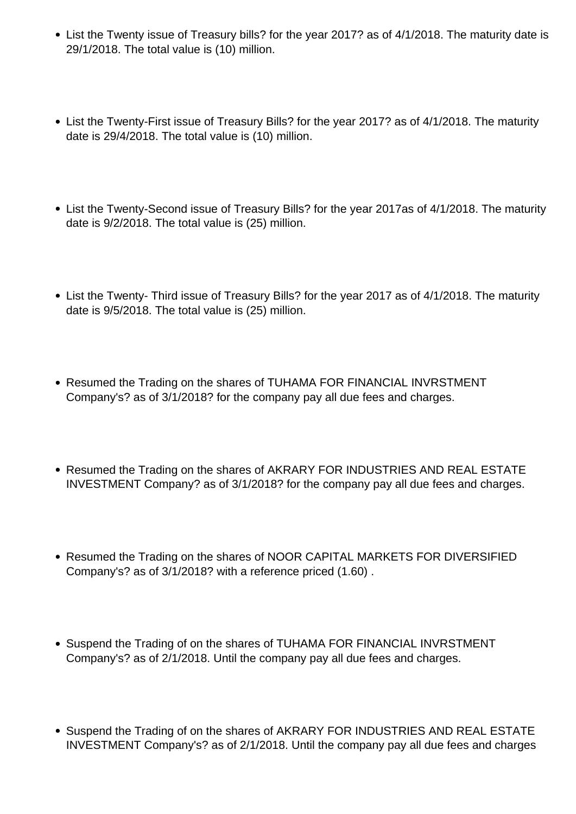- List the Twenty issue of Treasury bills? for the year 2017? as of 4/1/2018. The maturity date is 29/1/2018. The total value is (10) million.
- List the Twenty-First issue of Treasury Bills? for the year 2017? as of 4/1/2018. The maturity date is 29/4/2018. The total value is (10) million.
- List the Twenty-Second issue of Treasury Bills? for the year 2017as of 4/1/2018. The maturity date is 9/2/2018. The total value is (25) million.
- List the Twenty- Third issue of Treasury Bills? for the year 2017 as of 4/1/2018. The maturity date is 9/5/2018. The total value is (25) million.
- Resumed the Trading on the shares of TUHAMA FOR FINANCIAL INVRSTMENT Company's? as of 3/1/2018? for the company pay all due fees and charges.
- Resumed the Trading on the shares of AKRARY FOR INDUSTRIES AND REAL ESTATE INVESTMENT Company? as of 3/1/2018? for the company pay all due fees and charges.
- Resumed the Trading on the shares of NOOR CAPITAL MARKETS FOR DIVERSIFIED Company's? as of 3/1/2018? with a reference priced (1.60) .
- Suspend the Trading of on the shares of TUHAMA FOR FINANCIAL INVRSTMENT Company's? as of 2/1/2018. Until the company pay all due fees and charges.
- Suspend the Trading of on the shares of AKRARY FOR INDUSTRIES AND REAL ESTATE INVESTMENT Company's? as of 2/1/2018. Until the company pay all due fees and charges